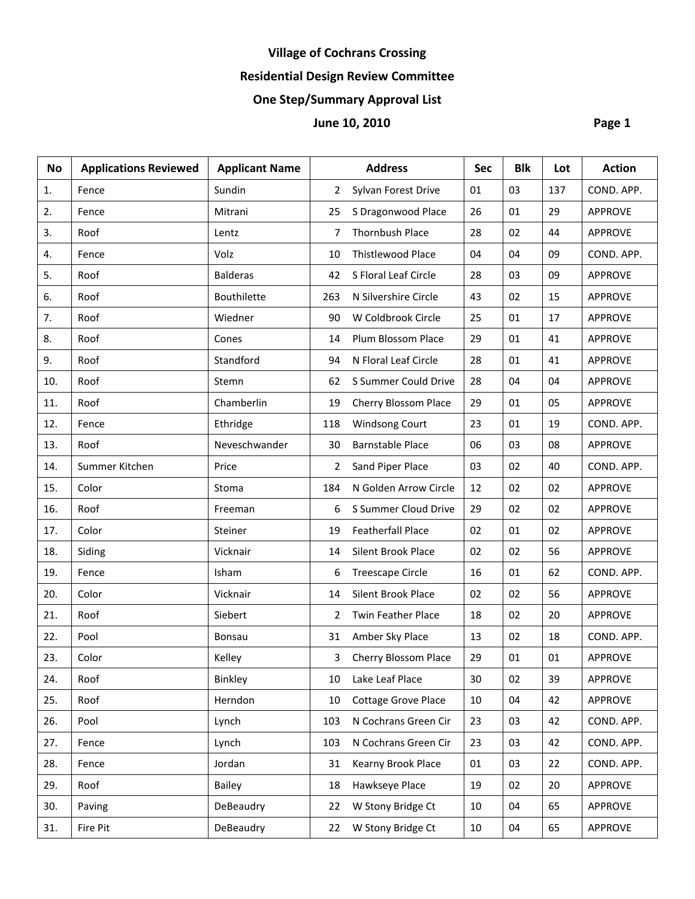# **Village of Cochrans Crossing**

# **Residential Design Review Committee**

# **One Step/Summary Approval List**

# **1** June 10, 2010 **Page 1**

| <b>No</b> | <b>Applications Reviewed</b> | <b>Applicant Name</b> |     | <b>Address</b>            | <b>Sec</b> | <b>Blk</b> | Lot | <b>Action</b>  |
|-----------|------------------------------|-----------------------|-----|---------------------------|------------|------------|-----|----------------|
| 1.        | Fence                        | Sundin                | 2   | Sylvan Forest Drive       | 01         | 03         | 137 | COND. APP.     |
| 2.        | Fence                        | Mitrani               | 25  | S Dragonwood Place        | 26         | 01         | 29  | APPROVE        |
| 3.        | Roof                         | Lentz                 | 7   | <b>Thornbush Place</b>    | 28         | 02         | 44  | <b>APPROVE</b> |
| 4.        | Fence                        | Volz                  | 10  | Thistlewood Place         | 04         | 04         | 09  | COND. APP.     |
| 5.        | Roof                         | <b>Balderas</b>       | 42  | S Floral Leaf Circle      | 28         | 03         | 09  | <b>APPROVE</b> |
| 6.        | Roof                         | Bouthilette           | 263 | N Silvershire Circle      | 43         | 02         | 15  | <b>APPROVE</b> |
| 7.        | Roof                         | Wiedner               | 90  | W Coldbrook Circle        | 25         | 01         | 17  | APPROVE        |
| 8.        | Roof                         | Cones                 | 14  | Plum Blossom Place        | 29         | 01         | 41  | <b>APPROVE</b> |
| 9.        | Roof                         | Standford             | 94  | N Floral Leaf Circle      | 28         | 01         | 41  | <b>APPROVE</b> |
| 10.       | Roof                         | Stemn                 | 62  | S Summer Could Drive      | 28         | 04         | 04  | APPROVE        |
| 11.       | Roof                         | Chamberlin            | 19  | Cherry Blossom Place      | 29         | 01         | 05  | <b>APPROVE</b> |
| 12.       | Fence                        | Ethridge              | 118 | Windsong Court            | 23         | 01         | 19  | COND. APP.     |
| 13.       | Roof                         | Neveschwander         | 30  | <b>Barnstable Place</b>   | 06         | 03         | 08  | APPROVE        |
| 14.       | Summer Kitchen               | Price                 | 2   | Sand Piper Place          | 03         | 02         | 40  | COND. APP.     |
| 15.       | Color                        | Stoma                 | 184 | N Golden Arrow Circle     | 12         | 02         | 02  | <b>APPROVE</b> |
| 16.       | Roof                         | Freeman               | 6   | S Summer Cloud Drive      | 29         | 02         | 02  | <b>APPROVE</b> |
| 17.       | Color                        | Steiner               | 19  | <b>Featherfall Place</b>  | 02         | 01         | 02  | APPROVE        |
| 18.       | Siding                       | Vicknair              | 14  | Silent Brook Place        | 02         | 02         | 56  | APPROVE        |
| 19.       | Fence                        | Isham                 | 6   | <b>Treescape Circle</b>   | 16         | 01         | 62  | COND. APP.     |
| 20.       | Color                        | Vicknair              | 14  | <b>Silent Brook Place</b> | 02         | 02         | 56  | <b>APPROVE</b> |
| 21.       | Roof                         | Siebert               | 2   | <b>Twin Feather Place</b> | 18         | 02         | 20  | APPROVE        |
| 22.       | Pool                         | Bonsau                | 31  | Amber Sky Place           | 13         | 02         | 18  | COND. APP.     |
| 23.       | Color                        | Kelley                | 3   | Cherry Blossom Place      | 29         | 01         | 01  | <b>APPROVE</b> |
| 24.       | Roof                         | Binkley               | 10  | Lake Leaf Place           | 30         | 02         | 39  | <b>APPROVE</b> |
| 25.       | Roof                         | Herndon               | 10  | Cottage Grove Place       | 10         | 04         | 42  | APPROVE        |
| 26.       | Pool                         | Lynch                 | 103 | N Cochrans Green Cir      | 23         | 03         | 42  | COND. APP.     |
| 27.       | Fence                        | Lynch                 | 103 | N Cochrans Green Cir      | 23         | 03         | 42  | COND. APP.     |
| 28.       | Fence                        | Jordan                | 31  | Kearny Brook Place        | 01         | 03         | 22  | COND. APP.     |
| 29.       | Roof                         | Bailey                | 18  | Hawkseye Place            | 19         | 02         | 20  | <b>APPROVE</b> |
| 30.       | Paving                       | DeBeaudry             | 22  | W Stony Bridge Ct         | 10         | 04         | 65  | <b>APPROVE</b> |
| 31.       | Fire Pit                     | DeBeaudry             | 22  | W Stony Bridge Ct         | 10         | 04         | 65  | <b>APPROVE</b> |